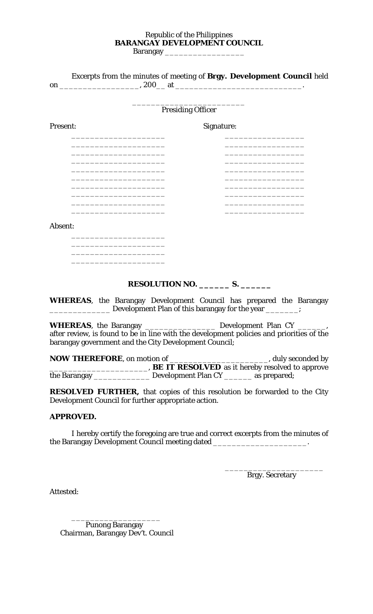## Republic of the Philippines **BARANGAY DEVELOPMENT COUNCIL**

Barangay

|                                                     | Excerpts from the minutes of meeting of Brgy. Development Council held                                                                                                                                                             |
|-----------------------------------------------------|------------------------------------------------------------------------------------------------------------------------------------------------------------------------------------------------------------------------------------|
|                                                     | <b>Presiding Officer</b>                                                                                                                                                                                                           |
| Present:                                            | Signature:                                                                                                                                                                                                                         |
|                                                     |                                                                                                                                                                                                                                    |
|                                                     |                                                                                                                                                                                                                                    |
|                                                     |                                                                                                                                                                                                                                    |
|                                                     |                                                                                                                                                                                                                                    |
| Absent:                                             |                                                                                                                                                                                                                                    |
|                                                     |                                                                                                                                                                                                                                    |
|                                                     | RESOLUTION NO. ___________ S. __________                                                                                                                                                                                           |
|                                                     | <b>WHEREAS</b> , the Barangay Development Council has prepared the Barangay<br>Development Plan of this barangay for the year ______;                                                                                              |
|                                                     | <b>WHEREAS</b> , the Barangay __________________ Development Plan CY _______,<br>after review, is found to be in line with the development policies and priorities of the<br>barangay government and the City Development Council; |
|                                                     | the Barangay _________________ Development Plan CY ________ as prepared;                                                                                                                                                           |
| Development Council for further appropriate action. | <b>RESOLVED FURTHER,</b> that copies of this resolution be forwarded to the City                                                                                                                                                   |

## **APPROVED.**

I hereby certify the foregoing are true and correct excerpts from the minutes of the Barangay Development Council meeting dated \_\_\_\_\_\_\_\_\_\_\_\_\_\_\_\_\_\_\_\_\_\_\_\_\_\_.

 $\overline{\phantom{a}}$  , which is a set of the contract of the contract of the contract of the contract of the contract of the contract of the contract of the contract of the contract of the contract of the contract of the contract

Brgy. Secretary

Attested:

 Punong Barangay Chairman, Barangay Dev't. Council

\_\_\_\_\_\_\_\_\_\_\_\_\_\_\_\_\_\_\_